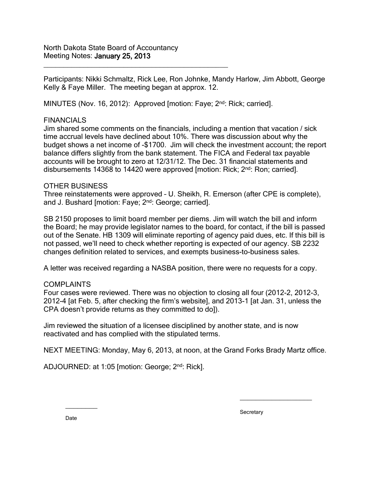\_\_\_\_\_\_\_\_\_\_\_\_\_\_\_\_\_\_\_\_\_\_\_\_\_\_\_\_\_\_\_\_\_\_\_\_\_\_\_\_\_\_\_\_\_\_

Participants: Nikki Schmaltz, Rick Lee, Ron Johnke, Mandy Harlow, Jim Abbott, George Kelly & Faye Miller. The meeting began at approx. 12.

MINUTES (Nov. 16, 2012): Approved [motion: Fave: 2<sup>nd</sup>: Rick; carried].

# FINANCIALS

Jim shared some comments on the financials, including a mention that vacation / sick time accrual levels have declined about 10%. There was discussion about why the budget shows a net income of -\$1700. Jim will check the investment account; the report balance differs slightly from the bank statement. The FICA and Federal tax payable accounts will be brought to zero at 12/31/12. The Dec. 31 financial statements and disbursements 14368 to 14420 were approved [motion: Rick; 2<sup>nd</sup>: Ron; carried].

# OTHER BUSINESS

Three reinstatements were approved – U. Sheikh, R. Emerson (after CPE is complete), and J. Bushard [motion: Faye; 2<sup>nd</sup>: George; carried].

SB 2150 proposes to limit board member per diems. Jim will watch the bill and inform the Board; he may provide legislator names to the board, for contact, if the bill is passed out of the Senate. HB 1309 will eliminate reporting of agency paid dues, etc. If this bill is not passed, we'll need to check whether reporting is expected of our agency. SB 2232 changes definition related to services, and exempts business-to-business sales.

A letter was received regarding a NASBA position, there were no requests for a copy.

# COMPLAINTS

Four cases were reviewed. There was no objection to closing all four (2012-2, 2012-3, 2012-4 [at Feb. 5, after checking the firm's website], and 2013-1 [at Jan. 31, unless the CPA doesn't provide returns as they committed to do]).

Jim reviewed the situation of a licensee disciplined by another state, and is now reactivated and has complied with the stipulated terms.

NEXT MEETING: Monday, May 6, 2013, at noon, at the Grand Forks Brady Martz office.

ADJOURNED: at 1:05 [motion: George; 2<sup>nd</sup>: Rick].

**Secretary** 

\_\_\_\_\_\_\_\_\_\_\_\_\_\_\_\_\_\_

Date

 $\overline{\phantom{a}}$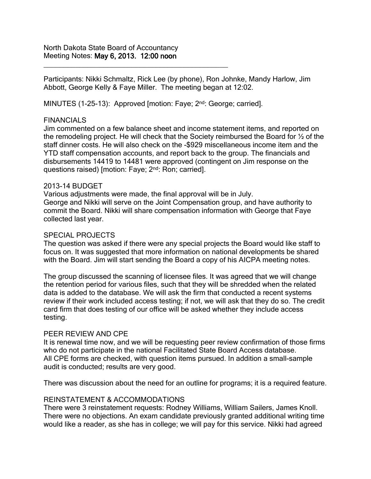North Dakota State Board of Accountancy Meeting Notes: May 6, 2013. 12:00 noon

Participants: Nikki Schmaltz, Rick Lee (by phone), Ron Johnke, Mandy Harlow, Jim Abbott, George Kelly & Faye Miller. The meeting began at 12:02.

MINUTES (1-25-13): Approved [motion: Faye; 2nd: George; carried].

\_\_\_\_\_\_\_\_\_\_\_\_\_\_\_\_\_\_\_\_\_\_\_\_\_\_\_\_\_\_\_\_\_\_\_\_\_\_\_\_\_\_\_\_\_\_

### FINANCIALS

Jim commented on a few balance sheet and income statement items, and reported on the remodeling project. He will check that the Society reimbursed the Board for ½ of the staff dinner costs. He will also check on the -\$929 miscellaneous income item and the YTD staff compensation accounts, and report back to the group. The financials and disbursements 14419 to 14481 were approved (contingent on Jim response on the questions raised) [motion: Faye; 2<sup>nd</sup>: Ron; carried].

### 2013-14 BUDGET

Various adjustments were made, the final approval will be in July. George and Nikki will serve on the Joint Compensation group, and have authority to commit the Board. Nikki will share compensation information with George that Faye collected last year.

## SPECIAL PROJECTS

The question was asked if there were any special projects the Board would like staff to focus on. It was suggested that more information on national developments be shared with the Board. Jim will start sending the Board a copy of his AICPA meeting notes.

The group discussed the scanning of licensee files. It was agreed that we will change the retention period for various files, such that they will be shredded when the related data is added to the database. We will ask the firm that conducted a recent systems review if their work included access testing; if not, we will ask that they do so. The credit card firm that does testing of our office will be asked whether they include access testing.

### PEER REVIEW AND CPE

It is renewal time now, and we will be requesting peer review confirmation of those firms who do not participate in the national Facilitated State Board Access database. All CPE forms are checked, with question items pursued. In addition a small-sample audit is conducted; results are very good.

There was discussion about the need for an outline for programs; it is a required feature.

## REINSTATEMENT & ACCOMMODATIONS

There were 3 reinstatement requests: Rodney Williams, William Sailers, James Knoll. There were no objections. An exam candidate previously granted additional writing time would like a reader, as she has in college; we will pay for this service. Nikki had agreed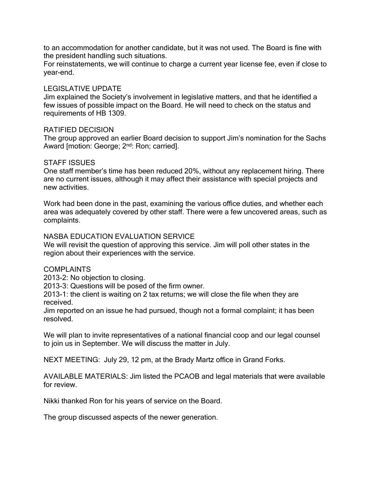to an accommodation for another candidate, but it was not used. The Board is fine with the president handling such situations.

For reinstatements, we will continue to charge a current year license fee, even if close to year-end.

### LEGISLATIVE UPDATE

Jim explained the Society's involvement in legislative matters, and that he identified a few issues of possible impact on the Board. He will need to check on the status and requirements of HB 1309.

## RATIFIED DECISION

The group approved an earlier Board decision to support Jim's nomination for the Sachs Award [motion: George; 2<sup>nd</sup>: Ron; carried].

## STAFF ISSUES

One staff member's time has been reduced 20%, without any replacement hiring. There are no current issues, although it may affect their assistance with special projects and new activities.

Work had been done in the past, examining the various office duties, and whether each area was adequately covered by other staff. There were a few uncovered areas, such as complaints.

# NASBA EDUCATION EVALUATION SERVICE

We will revisit the question of approving this service. Jim will poll other states in the region about their experiences with the service.

### COMPLAINTS

2013-2: No objection to closing.

2013-3: Questions will be posed of the firm owner.

2013-1: the client is waiting on 2 tax returns; we will close the file when they are received.

Jim reported on an issue he had pursued, though not a formal complaint; it has been resolved.

We will plan to invite representatives of a national financial coop and our legal counsel to join us in September. We will discuss the matter in July.

NEXT MEETING: July 29, 12 pm, at the Brady Martz office in Grand Forks.

AVAILABLE MATERIALS: Jim listed the PCAOB and legal materials that were available for review.

Nikki thanked Ron for his years of service on the Board.

The group discussed aspects of the newer generation.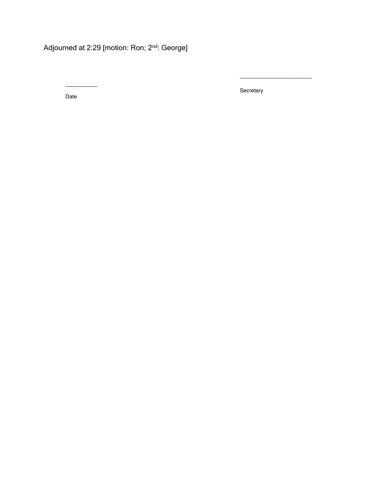Adjourned at 2:29 [motion: Ron; 2<sup>nd</sup>: George]

Date

 $\overline{\phantom{a}}$ 

Secretary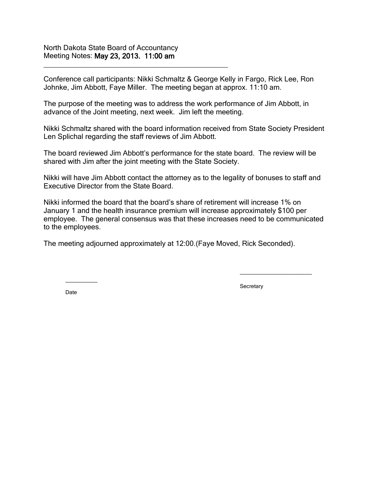North Dakota State Board of Accountancy Meeting Notes: May 23, 2013. 11:00 am

\_\_\_\_\_\_\_\_\_\_\_\_\_\_\_\_\_\_\_\_\_\_\_\_\_\_\_\_\_\_\_\_\_\_\_\_\_\_\_\_\_\_\_\_\_\_

Conference call participants: Nikki Schmaltz & George Kelly in Fargo, Rick Lee, Ron Johnke, Jim Abbott, Faye Miller. The meeting began at approx. 11:10 am.

The purpose of the meeting was to address the work performance of Jim Abbott, in advance of the Joint meeting, next week. Jim left the meeting.

Nikki Schmaltz shared with the board information received from State Society President Len Splichal regarding the staff reviews of Jim Abbott.

The board reviewed Jim Abbott's performance for the state board. The review will be shared with Jim after the joint meeting with the State Society.

Nikki will have Jim Abbott contact the attorney as to the legality of bonuses to staff and Executive Director from the State Board.

Nikki informed the board that the board's share of retirement will increase 1% on January 1 and the health insurance premium will increase approximately \$100 per employee. The general consensus was that these increases need to be communicated to the employees.

The meeting adjourned approximately at 12:00.(Faye Moved, Rick Seconded).

Date

 $\overline{\phantom{a}}$ 

**Secretary**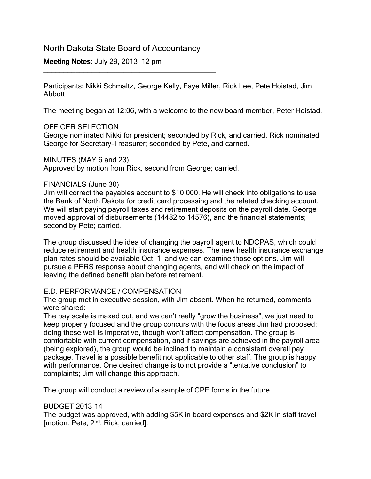# North Dakota State Board of Accountancy

\_\_\_\_\_\_\_\_\_\_\_\_\_\_\_\_\_\_\_\_\_\_\_\_\_\_\_\_\_\_\_\_\_\_\_\_\_\_\_\_\_\_\_

Meeting Notes: July 29, 2013 12 pm

Participants: Nikki Schmaltz, George Kelly, Faye Miller, Rick Lee, Pete Hoistad, Jim Abbott

The meeting began at 12:06, with a welcome to the new board member, Peter Hoistad.

## OFFICER SELECTION

George nominated Nikki for president; seconded by Rick, and carried. Rick nominated George for Secretary-Treasurer; seconded by Pete, and carried.

MINUTES (MAY 6 and 23)

Approved by motion from Rick, second from George; carried.

## FINANCIALS (June 30)

Jim will correct the payables account to \$10,000. He will check into obligations to use the Bank of North Dakota for credit card processing and the related checking account. We will start paying payroll taxes and retirement deposits on the payroll date. George moved approval of disbursements (14482 to 14576), and the financial statements; second by Pete; carried.

The group discussed the idea of changing the payroll agent to NDCPAS, which could reduce retirement and health insurance expenses. The new health insurance exchange plan rates should be available Oct. 1, and we can examine those options. Jim will pursue a PERS response about changing agents, and will check on the impact of leaving the defined benefit plan before retirement.

# E.D. PERFORMANCE / COMPENSATION

The group met in executive session, with Jim absent. When he returned, comments were shared:

The pay scale is maxed out, and we can't really "grow the business", we just need to keep properly focused and the group concurs with the focus areas Jim had proposed; doing these well is imperative, though won't affect compensation. The group is comfortable with current compensation, and if savings are achieved in the payroll area (being explored), the group would be inclined to maintain a consistent overall pay package. Travel is a possible benefit not applicable to other staff. The group is happy with performance. One desired change is to not provide a "tentative conclusion" to complaints; Jim will change this approach.

The group will conduct a review of a sample of CPE forms in the future.

# BUDGET 2013-14

The budget was approved, with adding \$5K in board expenses and \$2K in staff travel [motion: Pete; 2<sup>nd</sup>: Rick; carried].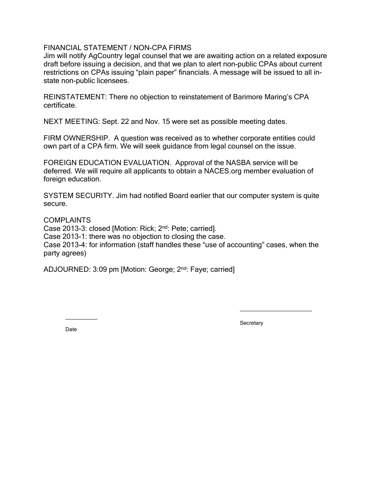# FINANCIAL STATEMENT / NON-CPA FIRMS

Jim will notify AgCountry legal counsel that we are awaiting action on a related exposure draft before issuing a decision, and that we plan to alert non-public CPAs about current restrictions on CPAs issuing "plain paper" financials. A message will be issued to all instate non-public licensees.

REINSTATEMENT: There no objection to reinstatement of Barimore Maring's CPA certificate.

NEXT MEETING: Sept. 22 and Nov. 15 were set as possible meeting dates.

FIRM OWNERSHIP. A question was received as to whether corporate entities could own part of a CPA firm. We will seek guidance from legal counsel on the issue.

FOREIGN EDUCATION EVALUATION. Approval of the NASBA service will be deferred. We will require all applicants to obtain a NACES.org member evaluation of foreign education.

SYSTEM SECURITY. Jim had notified Board earlier that our computer system is quite secure.

**COMPLAINTS** Case 2013-3: closed [Motion: Rick; 2<sup>nd</sup>: Pete; carried]. Case 2013-1: there was no objection to closing the case. Case 2013-4: for information (staff handles these "use of accounting" cases, when the party agrees)

ADJOURNED: 3:09 pm [Motion: George; 2<sup>nd</sup>: Faye; carried]

Date

 $\overline{\phantom{a}}$ 

**Secretary**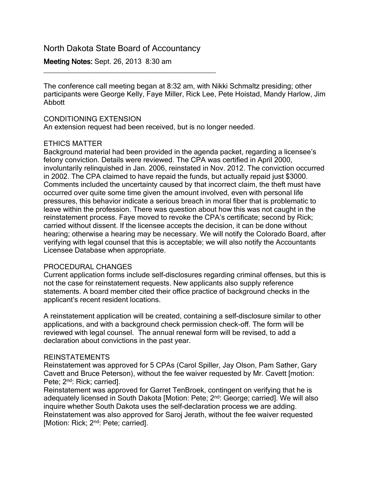# North Dakota State Board of Accountancy

\_\_\_\_\_\_\_\_\_\_\_\_\_\_\_\_\_\_\_\_\_\_\_\_\_\_\_\_\_\_\_\_\_\_\_\_\_\_\_\_\_\_\_

Meeting Notes: Sept. 26, 2013 8:30 am

The conference call meeting began at 8:32 am, with Nikki Schmaltz presiding; other participants were George Kelly, Faye Miller, Rick Lee, Pete Hoistad, Mandy Harlow, Jim Abbott

### CONDITIONING EXTENSION

An extension request had been received, but is no longer needed.

## ETHICS MATTER

Background material had been provided in the agenda packet, regarding a licensee's felony conviction. Details were reviewed. The CPA was certified in April 2000, involuntarily relinquished in Jan. 2006, reinstated in Nov. 2012. The conviction occurred in 2002. The CPA claimed to have repaid the funds, but actually repaid just \$3000. Comments included the uncertainty caused by that incorrect claim, the theft must have occurred over quite some time given the amount involved, even with personal life pressures, this behavior indicate a serious breach in moral fiber that is problematic to leave within the profession. There was question about how this was not caught in the reinstatement process. Faye moved to revoke the CPA's certificate; second by Rick; carried without dissent. If the licensee accepts the decision, it can be done without hearing; otherwise a hearing may be necessary. We will notify the Colorado Board, after verifying with legal counsel that this is acceptable; we will also notify the Accountants Licensee Database when appropriate.

### PROCEDURAL CHANGES

Current application forms include self-disclosures regarding criminal offenses, but this is not the case for reinstatement requests. New applicants also supply reference statements. A board member cited their office practice of background checks in the applicant's recent resident locations.

A reinstatement application will be created, containing a self-disclosure similar to other applications, and with a background check permission check-off. The form will be reviewed with legal counsel. The annual renewal form will be revised, to add a declaration about convictions in the past year.

## REINSTATEMENTS

Reinstatement was approved for 5 CPAs (Carol Spiller, Jay Olson, Pam Sather, Gary Cavett and Bruce Peterson), without the fee waiver requested by Mr. Cavett [motion: Pete; 2<sup>nd</sup>: Rick; carried].

Reinstatement was approved for Garret TenBroek, contingent on verifying that he is adequately licensed in South Dakota [Motion: Pete; 2nd: George; carried]. We will also inquire whether South Dakota uses the self-declaration process we are adding. Reinstatement was also approved for Saroj Jerath, without the fee waiver requested [Motion: Rick; 2<sup>nd</sup>: Pete; carried].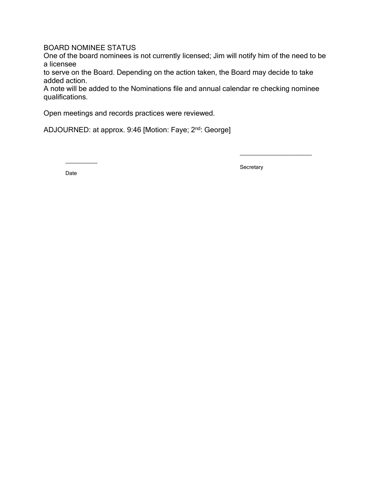# BOARD NOMINEE STATUS

One of the board nominees is not currently licensed; Jim will notify him of the need to be a licensee

to serve on the Board. Depending on the action taken, the Board may decide to take added action.

A note will be added to the Nominations file and annual calendar re checking nominee qualifications.

Open meetings and records practices were reviewed.

ADJOURNED: at approx. 9:46 [Motion: Faye; 2nd: George]

Date

 $\overline{\phantom{a}}$ 

**Secretary**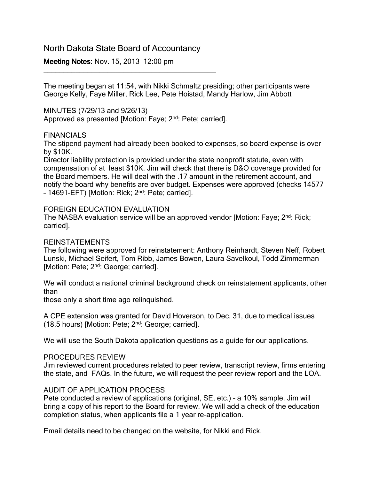# North Dakota State Board of Accountancy

\_\_\_\_\_\_\_\_\_\_\_\_\_\_\_\_\_\_\_\_\_\_\_\_\_\_\_\_\_\_\_\_\_\_\_\_\_\_\_\_\_\_\_

Meeting Notes: Nov. 15, 2013 12:00 pm

The meeting began at 11:54, with Nikki Schmaltz presiding; other participants were George Kelly, Faye Miller, Rick Lee, Pete Hoistad, Mandy Harlow, Jim Abbott

MINUTES (7/29/13 and 9/26/13) Approved as presented [Motion: Faye; 2<sup>nd</sup>: Pete; carried].

## **FINANCIALS**

The stipend payment had already been booked to expenses, so board expense is over by \$10K.

Director liability protection is provided under the state nonprofit statute, even with compensation of at least \$10K. Jim will check that there is D&O coverage provided for the Board members. He will deal with the .17 amount in the retirement account, and notify the board why benefits are over budget. Expenses were approved (checks 14577 – 14691-EFT) [Motion: Rick; 2nd: Pete; carried].

## FOREIGN EDUCATION EVALUATION

The NASBA evaluation service will be an approved vendor [Motion: Faye; 2<sup>nd</sup>: Rick; carried].

### REINSTATEMENTS

The following were approved for reinstatement: Anthony Reinhardt, Steven Neff, Robert Lunski, Michael Seifert, Tom Ribb, James Bowen, Laura Savelkoul, Todd Zimmerman [Motion: Pete; 2<sup>nd</sup>: George; carried].

We will conduct a national criminal background check on reinstatement applicants, other than

those only a short time ago relinquished.

A CPE extension was granted for David Hoverson, to Dec. 31, due to medical issues (18.5 hours) [Motion: Pete; 2nd: George; carried].

We will use the South Dakota application questions as a guide for our applications.

### PROCEDURES REVIEW

Jim reviewed current procedures related to peer review, transcript review, firms entering the state, and FAQs. In the future, we will request the peer review report and the LOA.

# AUDIT OF APPLICATION PROCESS

Pete conducted a review of applications (original, SE, etc.) – a 10% sample. Jim will bring a copy of his report to the Board for review. We will add a check of the education completion status, when applicants file a 1 year re-application.

Email details need to be changed on the website, for Nikki and Rick.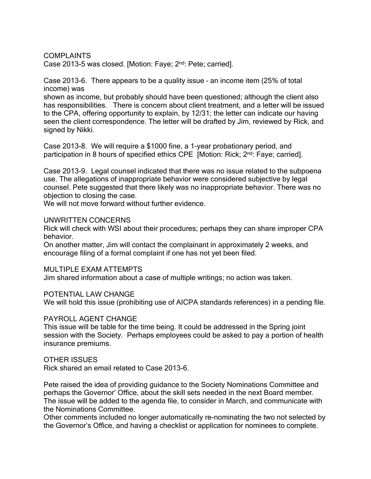COMPLAINTS

Case 2013-5 was closed. [Motion: Faye; 2nd: Pete; carried].

## Case 2013-6. There appears to be a quality issue – an income item (25% of total income) was

shown as income, but probably should have been questioned; although the client also has responsibilities. There is concern about client treatment, and a letter will be issued to the CPA, offering opportunity to explain, by 12/31; the letter can indicate our having seen the client correspondence. The letter will be drafted by Jim, reviewed by Rick, and signed by Nikki.

Case 2013-8. We will require a \$1000 fine, a 1-year probationary period, and participation in 8 hours of specified ethics CPE [Motion: Rick; 2<sup>nd</sup>: Faye; carried].

Case 2013-9. Legal counsel indicated that there was no issue related to the subpoena use. The allegations of inappropriate behavior were considered subjective by legal counsel. Pete suggested that there likely was no inappropriate behavior. There was no objection to closing the case.

We will not move forward without further evidence.

## UNWRITTEN CONCERNS

Rick will check with WSI about their procedures; perhaps they can share improper CPA behavior.

On another matter, Jim will contact the complainant in approximately 2 weeks, and encourage filing of a formal complaint if one has not yet been filed.

## MULTIPLE EXAM ATTEMPTS

Jim shared information about a case of multiple writings; no action was taken.

POTENTIAL LAW CHANGE

We will hold this issue (prohibiting use of AICPA standards references) in a pending file.

#### PAYROLL AGENT CHANGE

This issue will be table for the time being. It could be addressed in the Spring joint session with the Society. Perhaps employees could be asked to pay a portion of health insurance premiums.

### OTHER ISSUES

Rick shared an email related to Case 2013-6.

Pete raised the idea of providing guidance to the Society Nominations Committee and perhaps the Governor' Office, about the skill sets needed in the next Board member. The issue will be added to the agenda file, to consider in March, and communicate with the Nominations Committee.

Other comments included no longer automatically re-nominating the two not selected by the Governor's Office, and having a checklist or application for nominees to complete.